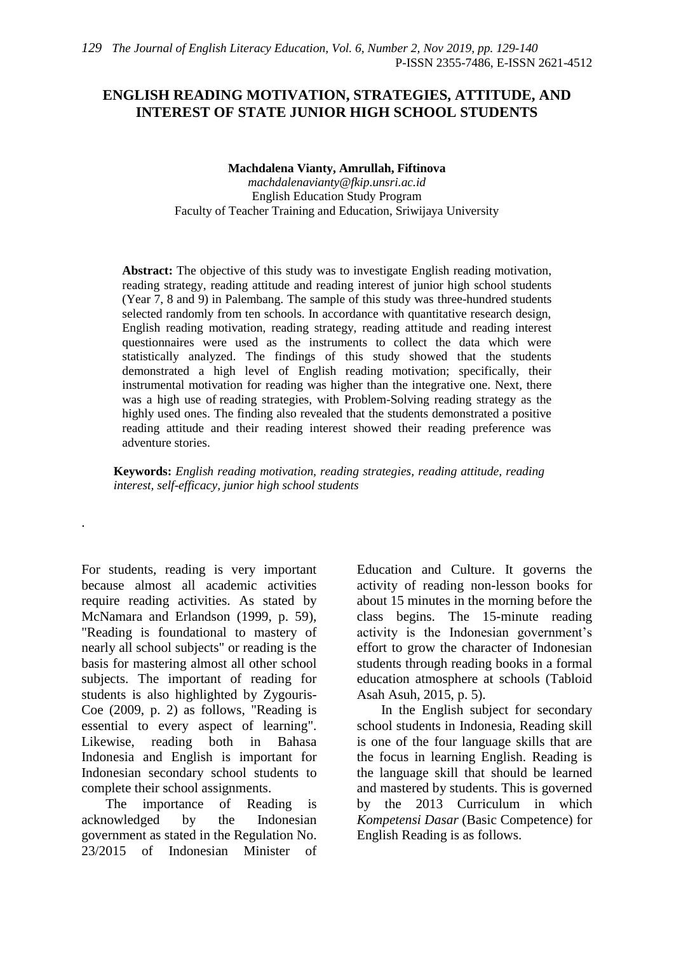# **ENGLISH READING MOTIVATION, STRATEGIES, ATTITUDE, AND INTEREST OF STATE JUNIOR HIGH SCHOOL STUDENTS**

**Machdalena Vianty, Amrullah, Fiftinova**

*machdalenavianty@fkip.unsri.ac.id* English Education Study Program Faculty of Teacher Training and Education, Sriwijaya University

**Abstract:** The objective of this study was to investigate English reading motivation, reading strategy, reading attitude and reading interest of junior high school students (Year 7, 8 and 9) in Palembang. The sample of this study was three-hundred students selected randomly from ten schools. In accordance with quantitative research design, English reading motivation, reading strategy, reading attitude and reading interest questionnaires were used as the instruments to collect the data which were statistically analyzed. The findings of this study showed that the students demonstrated a high level of English reading motivation; specifically, their instrumental motivation for reading was higher than the integrative one. Next, there was a high use of reading strategies, with Problem-Solving reading strategy as the highly used ones. The finding also revealed that the students demonstrated a positive reading attitude and their reading interest showed their reading preference was adventure stories.

**Keywords:** *English reading motivation, reading strategies, reading attitude, reading interest, self-efficacy, junior high school students*

For students, reading is very important because almost all academic activities require reading activities. As stated by McNamara and Erlandson (1999, p. 59), "Reading is foundational to mastery of nearly all school subjects" or reading is the basis for mastering almost all other school subjects. The important of reading for students is also highlighted by Zygouris-Coe (2009, p. 2) as follows, "Reading is essential to every aspect of learning". Likewise, reading both in Bahasa Indonesia and English is important for Indonesian secondary school students to complete their school assignments.

.

The importance of Reading is acknowledged by the Indonesian government as stated in the Regulation No. 23/2015 of Indonesian Minister of Education and Culture. It governs the activity of reading non-lesson books for about 15 minutes in the morning before the class begins. The 15-minute reading activity is the Indonesian government's effort to grow the character of Indonesian students through reading books in a formal education atmosphere at schools (Tabloid Asah Asuh, 2015, p. 5).

In the English subject for secondary school students in Indonesia, Reading skill is one of the four language skills that are the focus in learning English. Reading is the language skill that should be learned and mastered by students. This is governed by the 2013 Curriculum in which *Kompetensi Dasar* (Basic Competence) for English Reading is as follows.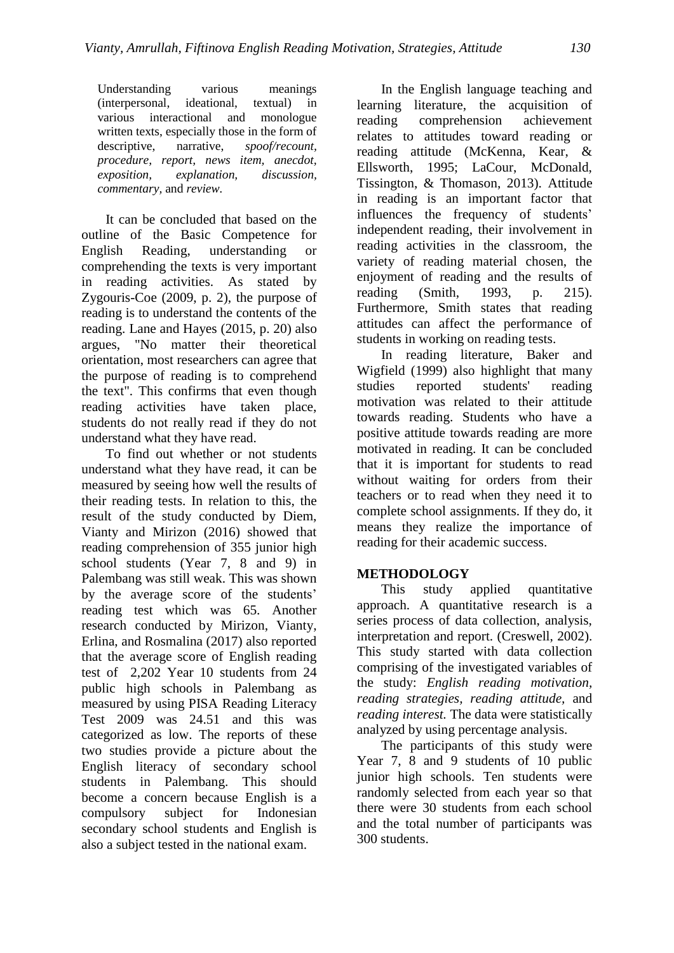Understanding various meanings (interpersonal, ideational, textual) in various interactional and monologue written texts, especially those in the form of descriptive, narrative, *spoof/recount, procedure, report, news item, anecdot, exposition, explanation, discussion, commentary,* and *review.*

It can be concluded that based on the outline of the Basic Competence for English Reading, understanding or comprehending the texts is very important in reading activities. As stated by Zygouris-Coe (2009, p. 2), the purpose of reading is to understand the contents of the reading. Lane and Hayes (2015, p. 20) also argues, "No matter their theoretical orientation, most researchers can agree that the purpose of reading is to comprehend the text". This confirms that even though reading activities have taken place, students do not really read if they do not understand what they have read.

To find out whether or not students understand what they have read, it can be measured by seeing how well the results of their reading tests. In relation to this, the result of the study conducted by Diem, Vianty and Mirizon (2016) showed that reading comprehension of 355 junior high school students (Year 7, 8 and 9) in Palembang was still weak. This was shown by the average score of the students' reading test which was 65. Another research conducted by Mirizon, Vianty, Erlina, and Rosmalina (2017) also reported that the average score of English reading test of 2,202 Year 10 students from 24 public high schools in Palembang as measured by using PISA Reading Literacy Test 2009 was 24.51 and this was categorized as low. The reports of these two studies provide a picture about the English literacy of secondary school students in Palembang. This should become a concern because English is a compulsory subject for Indonesian secondary school students and English is also a subject tested in the national exam.

In the English language teaching and learning literature, the acquisition of reading comprehension achievement relates to attitudes toward reading or reading attitude (McKenna, Kear, & Ellsworth, 1995; LaCour, McDonald, Tissington, & Thomason, 2013). Attitude in reading is an important factor that influences the frequency of students' independent reading, their involvement in reading activities in the classroom, the variety of reading material chosen, the enjoyment of reading and the results of reading (Smith, 1993, p. 215). Furthermore, Smith states that reading attitudes can affect the performance of students in working on reading tests.

In reading literature, Baker and Wigfield (1999) also highlight that many studies reported students' reading motivation was related to their attitude towards reading. Students who have a positive attitude towards reading are more motivated in reading. It can be concluded that it is important for students to read without waiting for orders from their teachers or to read when they need it to complete school assignments. If they do, it means they realize the importance of reading for their academic success.

## **METHODOLOGY**

This study applied quantitative approach. A quantitative research is a series process of data collection, analysis, interpretation and report. (Creswell, 2002). This study started with data collection comprising of the investigated variables of the study: *English reading motivation, reading strategies, reading attitude,* and *reading interest.* The data were statistically analyzed by using percentage analysis.

The participants of this study were Year 7, 8 and 9 students of 10 public junior high schools. Ten students were randomly selected from each year so that there were 30 students from each school and the total number of participants was 300 students.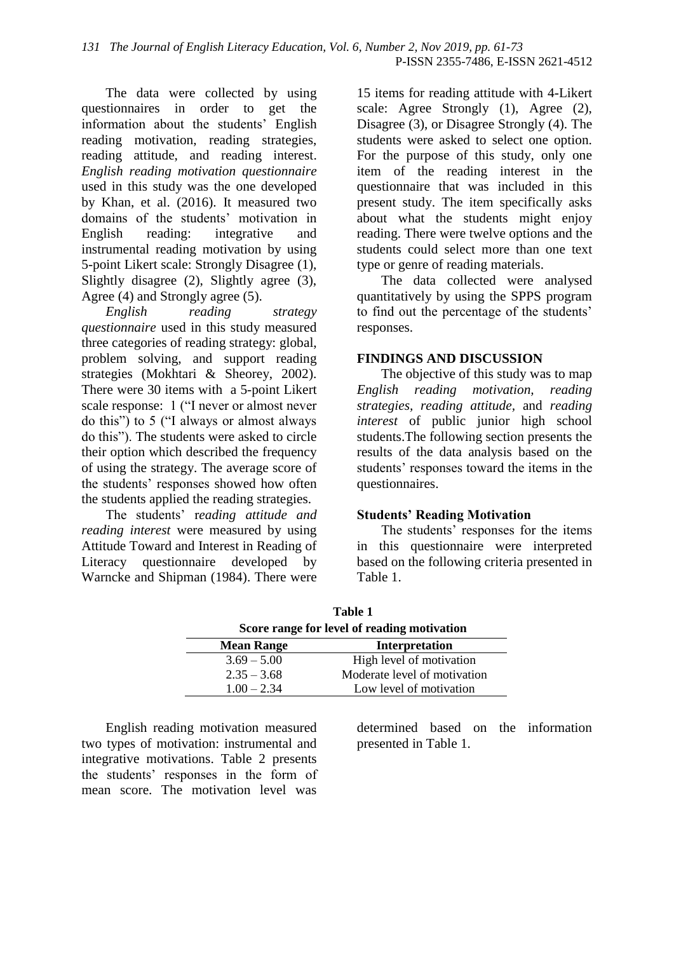The data were collected by using questionnaires in order to get the information about the students' English reading motivation, reading strategies, reading attitude, and reading interest. *English reading motivation questionnaire* used in this study was the one developed by Khan, et al. (2016). It measured two domains of the students' motivation in English reading: integrative and instrumental reading motivation by using 5-point Likert scale: Strongly Disagree (1), Slightly disagree (2), Slightly agree (3), Agree (4) and Strongly agree (5).

*English reading strategy questionnaire* used in this study measured three categories of reading strategy: global, problem solving, and support reading strategies (Mokhtari & Sheorey, 2002). There were 30 items with a 5-point Likert scale response: 1 ("I never or almost never do this") to 5 ("I always or almost always do this"). The students were asked to circle their option which described the frequency of using the strategy. The average score of the students' responses showed how often the students applied the reading strategies.

The students' r*eading attitude and reading interest* were measured by using Attitude Toward and Interest in Reading of Literacy questionnaire developed by Warncke and Shipman (1984). There were

15 items for reading attitude with 4-Likert scale: Agree Strongly (1), Agree (2), Disagree (3), or Disagree Strongly (4). The students were asked to select one option. For the purpose of this study, only one item of the reading interest in the questionnaire that was included in this present study. The item specifically asks about what the students might enjoy reading. There were twelve options and the students could select more than one text type or genre of reading materials.

The data collected were analysed quantitatively by using the SPPS program to find out the percentage of the students' responses.

### **FINDINGS AND DISCUSSION**

The objective of this study was to map *English reading motivation, reading strategies, reading attitude,* and *reading interest* of public junior high school students.The following section presents the results of the data analysis based on the students' responses toward the items in the questionnaires.

## **Students' Reading Motivation**

The students' responses for the items in this questionnaire were interpreted based on the following criteria presented in Table 1.

**Table 1 Score range for level of reading motivation Mean Range Interpretation**

| Mean Kange    | <i><u>Litterpretation</u></i> |
|---------------|-------------------------------|
| $3.69 - 5.00$ | High level of motivation      |
| $2.35 - 3.68$ | Moderate level of motivation  |
| $1.00 - 2.34$ | Low level of motivation       |
|               |                               |

English reading motivation measured two types of motivation: instrumental and integrative motivations. Table 2 presents the students' responses in the form of mean score. The motivation level was

determined based on the information presented in Table 1.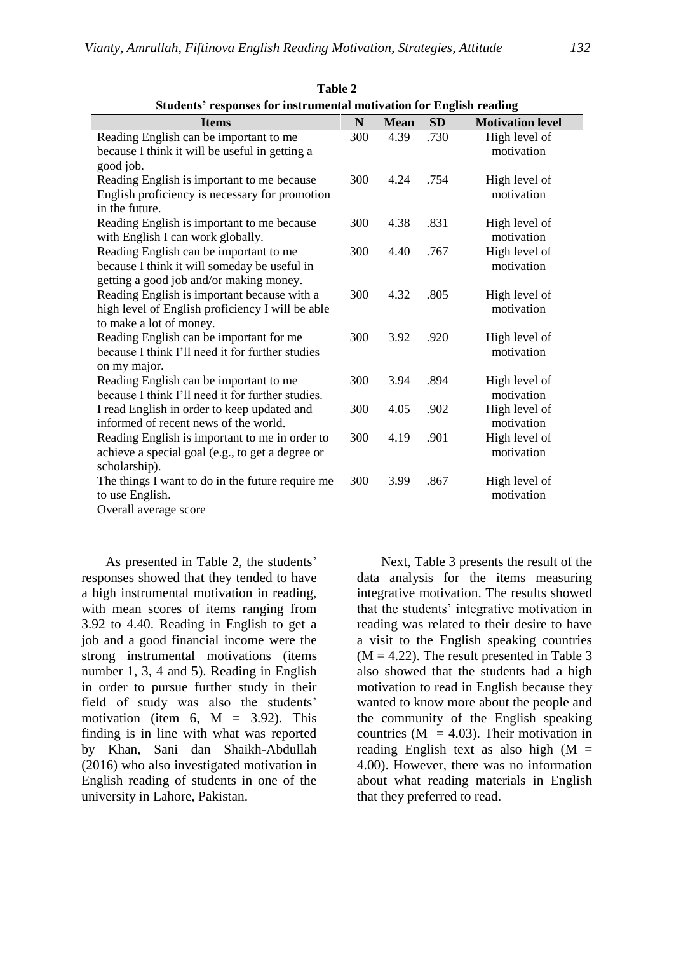|                                                                   | этийств темроимся гот тими интентат постуатот гот тепенят геайтер |      |      |               |  |  |  |  |  |
|-------------------------------------------------------------------|-------------------------------------------------------------------|------|------|---------------|--|--|--|--|--|
| SD<br>N<br><b>Mean</b><br><b>Motivation level</b><br><b>Items</b> |                                                                   |      |      |               |  |  |  |  |  |
| Reading English can be important to me                            | 300                                                               | 4.39 | .730 | High level of |  |  |  |  |  |
| because I think it will be useful in getting a                    |                                                                   |      |      | motivation    |  |  |  |  |  |
| good job.                                                         |                                                                   |      |      |               |  |  |  |  |  |
| Reading English is important to me because                        | 300                                                               | 4.24 | .754 | High level of |  |  |  |  |  |
| English proficiency is necessary for promotion                    |                                                                   |      |      | motivation    |  |  |  |  |  |
| in the future.                                                    |                                                                   |      |      |               |  |  |  |  |  |
| Reading English is important to me because                        | 300                                                               | 4.38 | .831 | High level of |  |  |  |  |  |
| with English I can work globally.                                 |                                                                   |      |      | motivation    |  |  |  |  |  |
| Reading English can be important to me                            | 300                                                               | 4.40 | .767 | High level of |  |  |  |  |  |
| because I think it will someday be useful in                      |                                                                   |      |      | motivation    |  |  |  |  |  |
| getting a good job and/or making money.                           |                                                                   |      |      |               |  |  |  |  |  |
| Reading English is important because with a                       | 300                                                               | 4.32 | .805 | High level of |  |  |  |  |  |
| high level of English proficiency I will be able                  |                                                                   |      |      | motivation    |  |  |  |  |  |
| to make a lot of money.                                           |                                                                   |      |      |               |  |  |  |  |  |
| Reading English can be important for me                           | 300                                                               | 3.92 | .920 | High level of |  |  |  |  |  |
| because I think I'll need it for further studies                  |                                                                   |      |      | motivation    |  |  |  |  |  |
| on my major.                                                      |                                                                   |      |      |               |  |  |  |  |  |
| Reading English can be important to me                            | 300                                                               | 3.94 | .894 | High level of |  |  |  |  |  |
| because I think I'll need it for further studies.                 |                                                                   |      |      | motivation    |  |  |  |  |  |
| I read English in order to keep updated and                       | 300                                                               | 4.05 | .902 | High level of |  |  |  |  |  |
| informed of recent news of the world.                             |                                                                   |      |      | motivation    |  |  |  |  |  |
| Reading English is important to me in order to                    | 300                                                               | 4.19 | .901 | High level of |  |  |  |  |  |
| achieve a special goal (e.g., to get a degree or                  |                                                                   |      |      | motivation    |  |  |  |  |  |
| scholarship).                                                     |                                                                   |      |      |               |  |  |  |  |  |
| The things I want to do in the future require me                  | 300                                                               | 3.99 | .867 | High level of |  |  |  |  |  |
| to use English.                                                   |                                                                   |      |      | motivation    |  |  |  |  |  |
| Overall average score                                             |                                                                   |      |      |               |  |  |  |  |  |

**Table 2 Students' responses for instrumental motivation for English reading**

As presented in Table 2, the students' responses showed that they tended to have a high instrumental motivation in reading, with mean scores of items ranging from 3.92 to 4.40. Reading in English to get a job and a good financial income were the strong instrumental motivations (items number 1, 3, 4 and 5). Reading in English in order to pursue further study in their field of study was also the students' motivation (item 6,  $M = 3.92$ ). This finding is in line with what was reported by Khan, Sani dan Shaikh-Abdullah (2016) who also investigated motivation in English reading of students in one of the university in Lahore, Pakistan.

Next, Table 3 presents the result of the data analysis for the items measuring integrative motivation. The results showed that the students' integrative motivation in reading was related to their desire to have a visit to the English speaking countries  $(M = 4.22)$ . The result presented in Table 3 also showed that the students had a high motivation to read in English because they wanted to know more about the people and the community of the English speaking countries ( $M = 4.03$ ). Their motivation in reading English text as also high  $(M =$ 4.00). However, there was no information about what reading materials in English that they preferred to read.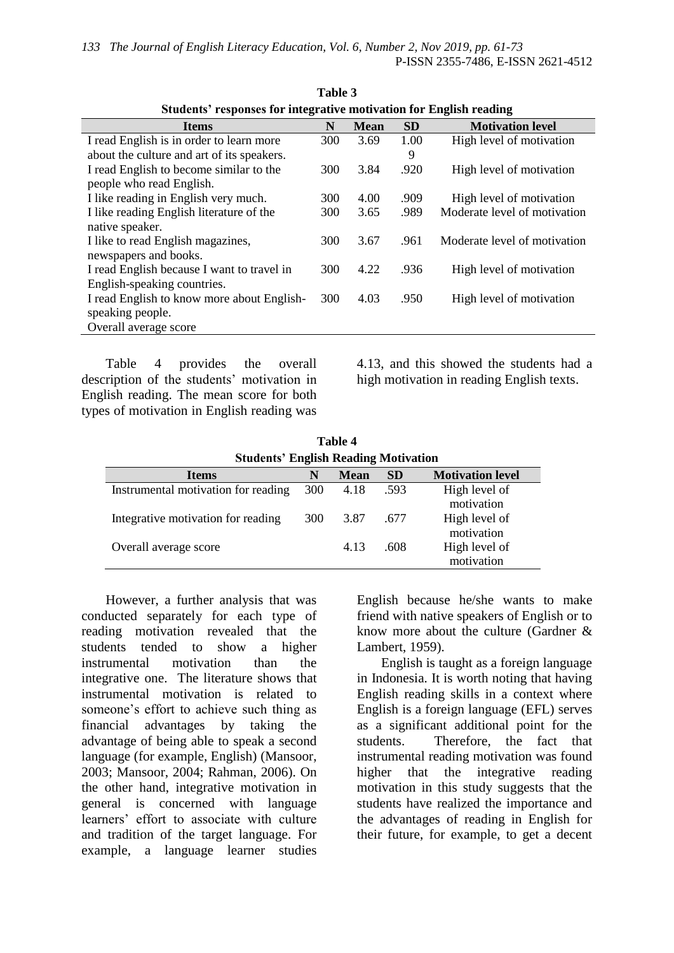| отатель теороизся юг писдтануе понуацой гог тлідцяй геаминд |     |             |           |                              |  |  |  |  |
|-------------------------------------------------------------|-----|-------------|-----------|------------------------------|--|--|--|--|
| <b>Items</b>                                                | N   | <b>Mean</b> | <b>SD</b> | <b>Motivation level</b>      |  |  |  |  |
| I read English is in order to learn more                    | 300 | 3.69        | 1.00      | High level of motivation     |  |  |  |  |
| about the culture and art of its speakers.                  |     |             | 9         |                              |  |  |  |  |
| I read English to become similar to the                     | 300 | 3.84        | .920      | High level of motivation     |  |  |  |  |
| people who read English.                                    |     |             |           |                              |  |  |  |  |
| I like reading in English very much.                        | 300 | 4.00        | .909      | High level of motivation     |  |  |  |  |
| I like reading English literature of the                    | 300 | 3.65        | .989      | Moderate level of motivation |  |  |  |  |
| native speaker.                                             |     |             |           |                              |  |  |  |  |
| I like to read English magazines,                           | 300 | 3.67        | .961      | Moderate level of motivation |  |  |  |  |
| newspapers and books.                                       |     |             |           |                              |  |  |  |  |
| I read English because I want to travel in                  | 300 | 4.22        | .936      | High level of motivation     |  |  |  |  |
| English-speaking countries.                                 |     |             |           |                              |  |  |  |  |
| I read English to know more about English-                  | 300 | 4.03        | .950      | High level of motivation     |  |  |  |  |
| speaking people.                                            |     |             |           |                              |  |  |  |  |
| Overall average score                                       |     |             |           |                              |  |  |  |  |
|                                                             |     |             |           |                              |  |  |  |  |

**Table 3 Students' responses for integrative motivation for English reading**

Table 4 provides the overall description of the students' motivation in English reading. The mean score for both types of motivation in English reading was

4.13, and this showed the students had a high motivation in reading English texts.

**Table 4 Students' English Reading Motivation** 

| $\sigma$ and $\sigma$ and $\sigma$ and $\sigma$ and $\sigma$ and $\sigma$ and $\sigma$ and $\sigma$ and $\sigma$ and $\sigma$ and $\sigma$ and $\sigma$ and $\sigma$ and $\sigma$ and $\sigma$ and $\sigma$ and $\sigma$ and $\sigma$ and $\sigma$ and $\sigma$ and $\sigma$ and $\sigma$ and $\sigma$ and $\sigma$ and $\sigma$ |            |             |           |                         |  |  |  |
|----------------------------------------------------------------------------------------------------------------------------------------------------------------------------------------------------------------------------------------------------------------------------------------------------------------------------------|------------|-------------|-----------|-------------------------|--|--|--|
| <b>Items</b>                                                                                                                                                                                                                                                                                                                     | N          | <b>Mean</b> | <b>SD</b> | <b>Motivation level</b> |  |  |  |
| Instrumental motivation for reading                                                                                                                                                                                                                                                                                              | 300        | 4.18        | .593      | High level of           |  |  |  |
|                                                                                                                                                                                                                                                                                                                                  |            |             |           | motivation              |  |  |  |
| Integrative motivation for reading                                                                                                                                                                                                                                                                                               | <b>300</b> | 3.87        | .677      | High level of           |  |  |  |
|                                                                                                                                                                                                                                                                                                                                  |            |             |           | motivation              |  |  |  |
| Overall average score                                                                                                                                                                                                                                                                                                            |            | 4.13        | .608      | High level of           |  |  |  |
|                                                                                                                                                                                                                                                                                                                                  |            |             |           | motivation              |  |  |  |
|                                                                                                                                                                                                                                                                                                                                  |            |             |           |                         |  |  |  |

However, a further analysis that was conducted separately for each type of reading motivation revealed that the students tended to show a higher instrumental motivation than the integrative one. The literature shows that instrumental motivation is related to someone's effort to achieve such thing as financial advantages by taking the advantage of being able to speak a second language (for example, English) (Mansoor, 2003; Mansoor, 2004; Rahman, 2006). On the other hand, integrative motivation in general is concerned with language learners' effort to associate with culture and tradition of the target language. For example, a language learner studies

English because he/she wants to make friend with native speakers of English or to know more about the culture (Gardner & Lambert, 1959).

English is taught as a foreign language in Indonesia. It is worth noting that having English reading skills in a context where English is a foreign language (EFL) serves as a significant additional point for the students. Therefore, the fact that instrumental reading motivation was found higher that the integrative reading motivation in this study suggests that the students have realized the importance and the advantages of reading in English for their future, for example, to get a decent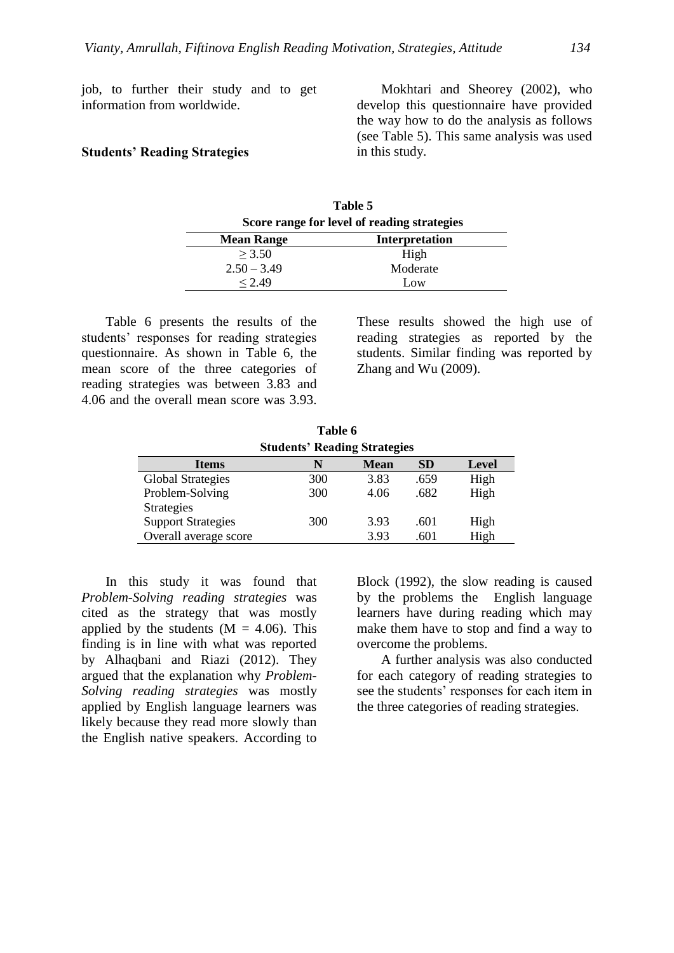job, to further their study and to get information from worldwide.

#### **Students' Reading Strategies**

Mokhtari and Sheorey (2002), who develop this questionnaire have provided the way how to do the analysis as follows (see Table 5). This same analysis was used in this study.

| Table 5                                     |  |  |  |
|---------------------------------------------|--|--|--|
| Score range for level of reading strategies |  |  |  |
| <b>Interpretation</b><br><b>Mean Range</b>  |  |  |  |
| High                                        |  |  |  |
| Moderate                                    |  |  |  |
| Low                                         |  |  |  |
|                                             |  |  |  |

Table 6 presents the results of the students' responses for reading strategies questionnaire. As shown in Table 6, the mean score of the three categories of reading strategies was between 3.83 and 4.06 and the overall mean score was 3.93. These results showed the high use of reading strategies as reported by the students. Similar finding was reported by Zhang and Wu (2009).

| Table 6                                                       |                                     |      |      |      |  |  |  |  |  |
|---------------------------------------------------------------|-------------------------------------|------|------|------|--|--|--|--|--|
|                                                               | <b>Students' Reading Strategies</b> |      |      |      |  |  |  |  |  |
| <b>SD</b><br><b>Level</b><br><b>Mean</b><br><b>Items</b><br>N |                                     |      |      |      |  |  |  |  |  |
| <b>Global Strategies</b>                                      | 300                                 | 3.83 | .659 | High |  |  |  |  |  |
| Problem-Solving                                               | 300                                 | 4.06 | .682 | High |  |  |  |  |  |
| <b>Strategies</b>                                             |                                     |      |      |      |  |  |  |  |  |
| <b>Support Strategies</b>                                     | 300                                 | 3.93 | .601 | High |  |  |  |  |  |
| Overall average score                                         |                                     | 3.93 | .601 | High |  |  |  |  |  |

In this study it was found that *Problem-Solving reading strategies* was cited as the strategy that was mostly applied by the students  $(M = 4.06)$ . This finding is in line with what was reported by Alhaqbani and Riazi (2012). They argued that the explanation why *Problem-Solving reading strategies* was mostly applied by English language learners was likely because they read more slowly than the English native speakers. According to

Block (1992), the slow reading is caused by the problems the English language learners have during reading which may make them have to stop and find a way to overcome the problems.

A further analysis was also conducted for each category of reading strategies to see the students' responses for each item in the three categories of reading strategies.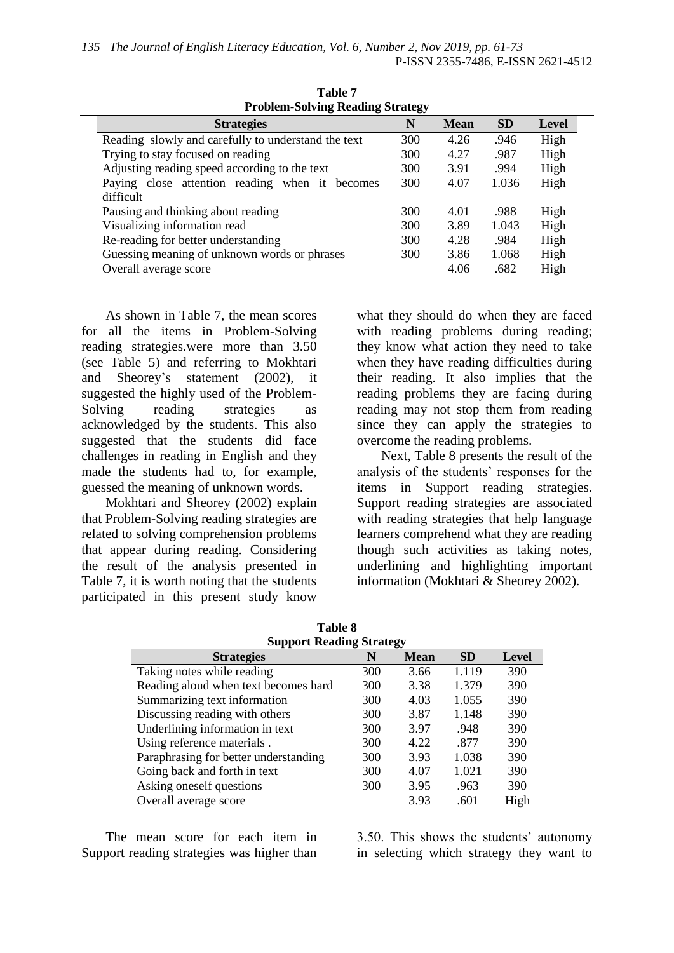| $1100$ $1001$ $100$ $100$ $100$ $100$ $100$ $100$   |     |             |           |       |  |  |  |  |
|-----------------------------------------------------|-----|-------------|-----------|-------|--|--|--|--|
| <b>Strategies</b>                                   | N   | <b>Mean</b> | <b>SD</b> | Level |  |  |  |  |
| Reading slowly and carefully to understand the text | 300 | 4.26        | .946      | High  |  |  |  |  |
| Trying to stay focused on reading                   | 300 | 4.27        | .987      | High  |  |  |  |  |
| Adjusting reading speed according to the text       | 300 | 3.91        | .994      | High  |  |  |  |  |
| Paying close attention reading when it becomes      | 300 | 4.07        | 1.036     | High  |  |  |  |  |
| difficult                                           |     |             |           |       |  |  |  |  |
| Pausing and thinking about reading                  | 300 | 4.01        | .988      | High  |  |  |  |  |
| Visualizing information read                        | 300 | 3.89        | 1.043     | High  |  |  |  |  |
| Re-reading for better understanding                 | 300 | 4.28        | .984      | High  |  |  |  |  |
| Guessing meaning of unknown words or phrases        | 300 | 3.86        | 1.068     | High  |  |  |  |  |
| Overall average score                               |     | 4.06        | .682      | High  |  |  |  |  |
|                                                     |     |             |           |       |  |  |  |  |

**Table 7 Problem-Solving Reading Strategy**

As shown in Table 7, the mean scores for all the items in Problem-Solving reading strategies.were more than 3.50 (see Table 5) and referring to Mokhtari and Sheorey's statement (2002), it suggested the highly used of the Problem-Solving reading strategies as acknowledged by the students. This also suggested that the students did face challenges in reading in English and they made the students had to, for example, guessed the meaning of unknown words.

Mokhtari and Sheorey (2002) explain that Problem-Solving reading strategies are related to solving comprehension problems that appear during reading. Considering the result of the analysis presented in Table 7, it is worth noting that the students participated in this present study know

what they should do when they are faced with reading problems during reading; they know what action they need to take when they have reading difficulties during their reading. It also implies that the reading problems they are facing during reading may not stop them from reading since they can apply the strategies to overcome the reading problems.

Next, Table 8 presents the result of the analysis of the students' responses for the items in Support reading strategies. Support reading strategies are associated with reading strategies that help language learners comprehend what they are reading though such activities as taking notes, underlining and highlighting important information (Mokhtari & Sheorey 2002).

| <b>Support Reading Strategy</b>       |     |             |           |       |  |  |  |
|---------------------------------------|-----|-------------|-----------|-------|--|--|--|
| <b>Strategies</b>                     | N   | <b>Mean</b> | <b>SD</b> | Level |  |  |  |
| Taking notes while reading            | 300 | 3.66        | 1.119     | 390   |  |  |  |
| Reading aloud when text becomes hard  | 300 | 3.38        | 1.379     | 390   |  |  |  |
| Summarizing text information          | 300 | 4.03        | 1.055     | 390   |  |  |  |
| Discussing reading with others        | 300 | 3.87        | 1.148     | 390   |  |  |  |
| Underlining information in text       | 300 | 3.97        | .948      | 390   |  |  |  |
| Using reference materials.            | 300 | 4.22        | .877      | 390   |  |  |  |
| Paraphrasing for better understanding | 300 | 3.93        | 1.038     | 390   |  |  |  |
| Going back and forth in text          | 300 | 4.07        | 1.021     | 390   |  |  |  |
| Asking oneself questions              | 300 | 3.95        | .963      | 390   |  |  |  |
| Overall average score                 |     | 3.93        | .601      | High  |  |  |  |

**Table 8**

The mean score for each item in Support reading strategies was higher than

3.50. This shows the students' autonomy in selecting which strategy they want to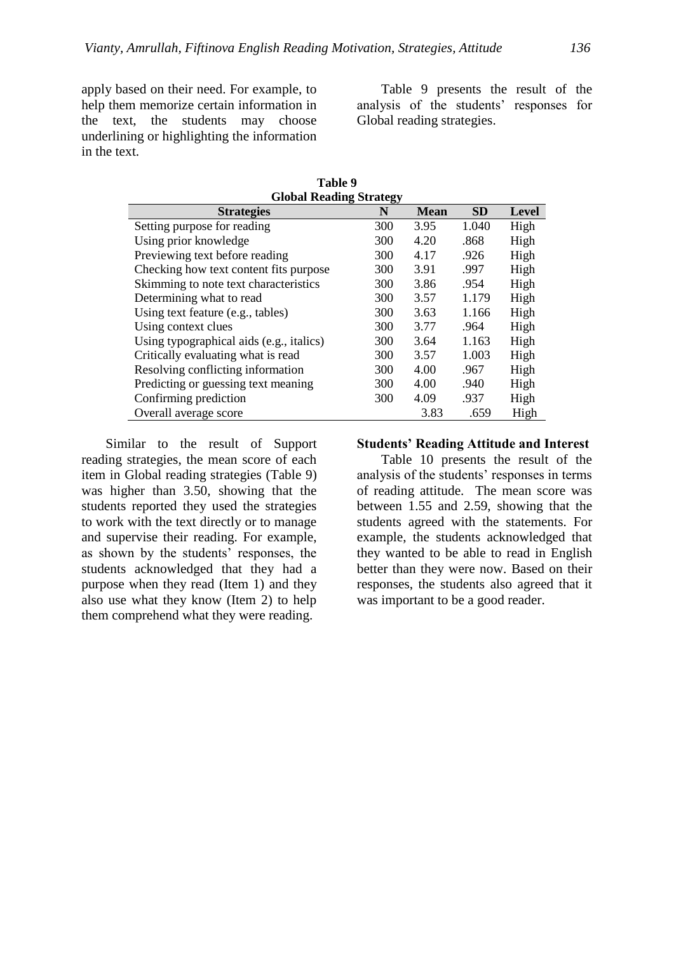apply based on their need. For example, to help them memorize certain information in the text, the students may choose underlining or highlighting the information in the text.

Table 9 presents the result of the analysis of the students' responses for Global reading strategies.

| <b>Global Reading Strategy</b>                              |     |      |       |      |  |  |  |  |
|-------------------------------------------------------------|-----|------|-------|------|--|--|--|--|
| <b>SD</b><br><b>Strategies</b><br>N<br><b>Mean</b><br>Level |     |      |       |      |  |  |  |  |
| Setting purpose for reading                                 | 300 | 3.95 | 1.040 | High |  |  |  |  |
| Using prior knowledge                                       | 300 | 4.20 | .868  | High |  |  |  |  |
| Previewing text before reading                              | 300 | 4.17 | .926  | High |  |  |  |  |
| Checking how text content fits purpose                      | 300 | 3.91 | .997  | High |  |  |  |  |
| Skimming to note text characteristics                       | 300 | 3.86 | .954  | High |  |  |  |  |
| Determining what to read                                    | 300 | 3.57 | 1.179 | High |  |  |  |  |
| Using text feature (e.g., tables)                           | 300 | 3.63 | 1.166 | High |  |  |  |  |
| Using context clues                                         | 300 | 3.77 | .964  | High |  |  |  |  |
| Using typographical aids (e.g., italics)                    | 300 | 3.64 | 1.163 | High |  |  |  |  |
| Critically evaluating what is read                          | 300 | 3.57 | 1.003 | High |  |  |  |  |
| Resolving conflicting information                           | 300 | 4.00 | .967  | High |  |  |  |  |
| Predicting or guessing text meaning                         | 300 | 4.00 | .940  | High |  |  |  |  |
| Confirming prediction                                       | 300 | 4.09 | .937  | High |  |  |  |  |
| Overall average score                                       |     | 3.83 | .659  | High |  |  |  |  |

**Table 9**

Similar to the result of Support reading strategies, the mean score of each item in Global reading strategies (Table 9) was higher than 3.50, showing that the students reported they used the strategies to work with the text directly or to manage and supervise their reading. For example, as shown by the students' responses, the students acknowledged that they had a purpose when they read (Item 1) and they also use what they know (Item 2) to help them comprehend what they were reading.

#### **Students' Reading Attitude and Interest**

Table 10 presents the result of the analysis of the students' responses in terms of reading attitude. The mean score was between 1.55 and 2.59, showing that the students agreed with the statements. For example, the students acknowledged that they wanted to be able to read in English better than they were now. Based on their responses, the students also agreed that it was important to be a good reader.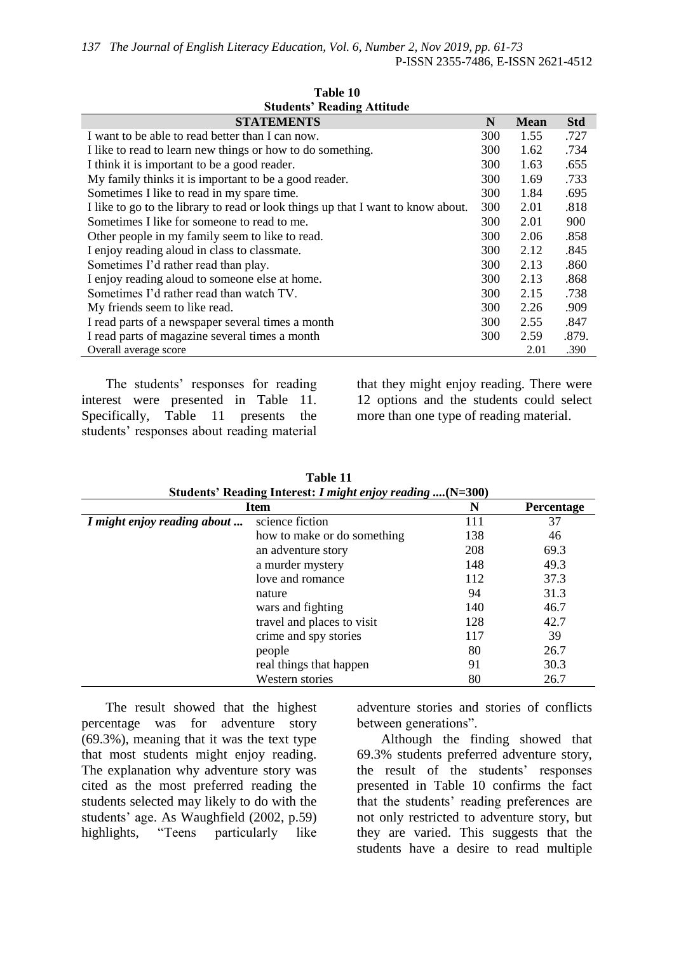**Table 10**

| тане то                                                                          |                                |      |       |  |  |  |  |  |  |
|----------------------------------------------------------------------------------|--------------------------------|------|-------|--|--|--|--|--|--|
| <b>Students' Reading Attitude</b>                                                |                                |      |       |  |  |  |  |  |  |
| <b>STATEMENTS</b>                                                                | <b>Std</b><br>N<br><b>Mean</b> |      |       |  |  |  |  |  |  |
| I want to be able to read better than I can now.                                 | 300                            | 1.55 | .727  |  |  |  |  |  |  |
| I like to read to learn new things or how to do something.                       | 300                            | 1.62 | .734  |  |  |  |  |  |  |
| I think it is important to be a good reader.                                     | 300                            | 1.63 | .655  |  |  |  |  |  |  |
| My family thinks it is important to be a good reader.                            | 300                            | 1.69 | .733  |  |  |  |  |  |  |
| Sometimes I like to read in my spare time.                                       | 300                            | 1.84 | .695  |  |  |  |  |  |  |
| I like to go to the library to read or look things up that I want to know about. | 300                            | 2.01 | .818  |  |  |  |  |  |  |
| Sometimes I like for someone to read to me.                                      | 300                            | 2.01 | 900   |  |  |  |  |  |  |
| Other people in my family seem to like to read.                                  | 300                            | 2.06 | .858  |  |  |  |  |  |  |
| I enjoy reading aloud in class to classmate.                                     | 300                            | 2.12 | .845  |  |  |  |  |  |  |
| Sometimes I'd rather read than play.                                             | 300                            | 2.13 | .860  |  |  |  |  |  |  |
| I enjoy reading aloud to some one else at home.                                  | 300                            | 2.13 | .868  |  |  |  |  |  |  |
| Sometimes I'd rather read than watch TV.                                         | 300                            | 2.15 | .738  |  |  |  |  |  |  |
| My friends seem to like read.                                                    | 300                            | 2.26 | .909  |  |  |  |  |  |  |
| I read parts of a newspaper several times a month                                | 300                            | 2.55 | .847  |  |  |  |  |  |  |
| I read parts of magazine several times a month                                   | 300                            | 2.59 | .879. |  |  |  |  |  |  |
| Overall average score                                                            |                                | 2.01 | .390  |  |  |  |  |  |  |

The students' responses for reading interest were presented in Table 11. Specifically, Table 11 presents the students' responses about reading material

that they might enjoy reading. There were 12 options and the students could select more than one type of reading material.

|                             | Students Reading Interest: I might enjoy reading ( $N=300$ )<br>N<br><b>Item</b><br>Percentage |     |      |  |  |  |
|-----------------------------|------------------------------------------------------------------------------------------------|-----|------|--|--|--|
| I might enjoy reading about | science fiction                                                                                | 111 | 37   |  |  |  |
|                             | how to make or do something                                                                    | 138 | 46   |  |  |  |
|                             | an adventure story                                                                             | 208 | 69.3 |  |  |  |
|                             | a murder mystery                                                                               | 148 | 49.3 |  |  |  |
|                             | love and romance                                                                               | 112 | 37.3 |  |  |  |
|                             | nature                                                                                         | 94  | 31.3 |  |  |  |
|                             | wars and fighting                                                                              | 140 | 46.7 |  |  |  |
|                             | travel and places to visit                                                                     | 128 | 42.7 |  |  |  |
|                             | crime and spy stories                                                                          | 117 | 39   |  |  |  |
|                             | people                                                                                         | 80  | 26.7 |  |  |  |
|                             | real things that happen                                                                        | 91  | 30.3 |  |  |  |
|                             | Western stories                                                                                | 80  | 26.7 |  |  |  |

**Table 11 Students' Reading Interest:** *I might enjoy reading ....***(N=300)**

The result showed that the highest percentage was for adventure story (69.3%), meaning that it was the text type that most students might enjoy reading. The explanation why adventure story was cited as the most preferred reading the students selected may likely to do with the students' age. As Waughfield (2002, p.59) highlights, "Teens particularly like

adventure stories and stories of conflicts between generations".

Although the finding showed that 69.3% students preferred adventure story, the result of the students' responses presented in Table 10 confirms the fact that the students' reading preferences are not only restricted to adventure story, but they are varied. This suggests that the students have a desire to read multiple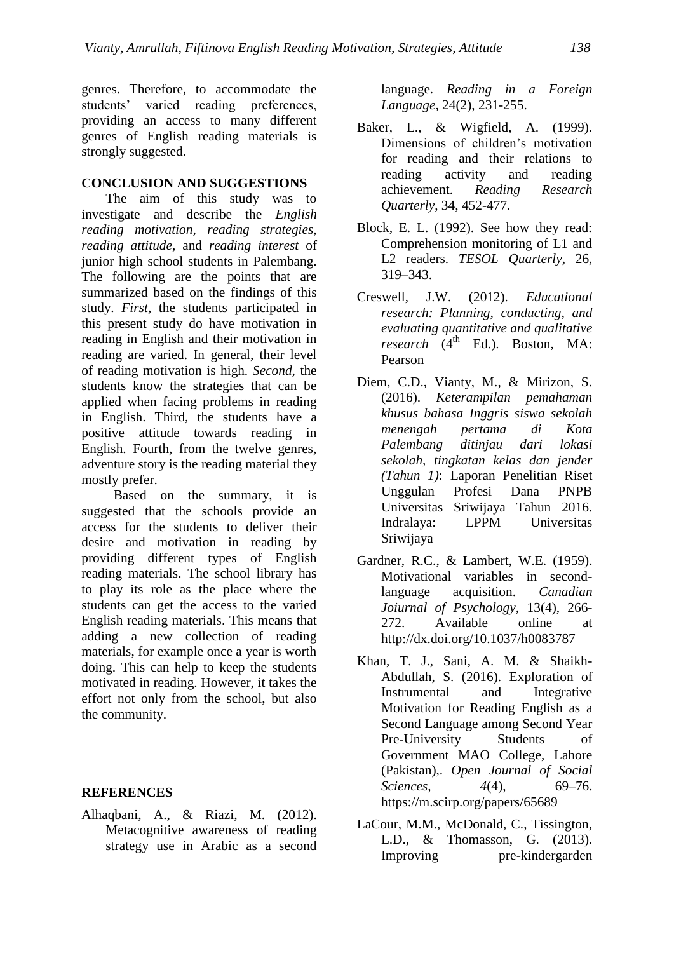genres. Therefore, to accommodate the students' varied reading preferences, providing an access to many different genres of English reading materials is strongly suggested.

### **CONCLUSION AND SUGGESTIONS**

The aim of this study was to investigate and describe the *English reading motivation, reading strategies, reading attitude,* and *reading interest* of junior high school students in Palembang. The following are the points that are summarized based on the findings of this study. *First,* the students participated in this present study do have motivation in reading in English and their motivation in reading are varied. In general, their level of reading motivation is high. *Second,* the students know the strategies that can be applied when facing problems in reading in English. Third, the students have a positive attitude towards reading in English. Fourth, from the twelve genres, adventure story is the reading material they mostly prefer.

Based on the summary, it is suggested that the schools provide an access for the students to deliver their desire and motivation in reading by providing different types of English reading materials. The school library has to play its role as the place where the students can get the access to the varied English reading materials. This means that adding a new collection of reading materials, for example once a year is worth doing. This can help to keep the students motivated in reading. However, it takes the effort not only from the school, but also the community.

#### **REFERENCES**

Alhaqbani, A., & Riazi, M. (2012). Metacognitive awareness of reading strategy use in Arabic as a second

language. *Reading in a Foreign Language,* 24(2), 231-255.

- Baker, L., & Wigfield, A. (1999). Dimensions of children's motivation for reading and their relations to reading activity and reading achievement. *Reading Research Quarterly*, 34, 452-477.
- Block, E. L. (1992). See how they read: Comprehension monitoring of L1 and L2 readers. *TESOL Quarterly,* 26, 319–343.
- Creswell, J.W. (2012). *Educational research: Planning, conducting, and evaluating quantitative and qualitative*   $r$ *research* (4<sup>th</sup> Ed.). Boston, MA: Pearson
- Diem, C.D., Vianty, M., & Mirizon, S. (2016). *Keterampilan pemahaman khusus bahasa Inggris siswa sekolah menengah pertama di Kota Palembang ditinjau dari lokasi sekolah, tingkatan kelas dan jender (Tahun 1)*: Laporan Penelitian Riset Unggulan Profesi Dana PNPB Universitas Sriwijaya Tahun 2016. Indralaya: LPPM Universitas Sriwijaya
- Gardner, R.C., & Lambert, W.E. (1959). Motivational variables in secondlanguage acquisition. *Canadian Joiurnal of Psychology,* 13(4), 266- 272. Available online at http://dx.doi.org/10.1037/h0083787
- Khan, T. J., Sani, A. M. & Shaikh-Abdullah, S. (2016). Exploration of Instrumental and Integrative Motivation for Reading English as a Second Language among Second Year Pre-University Students of Government MAO College, Lahore (Pakistan),. *Open Journal of Social Sciences, 4*(4), 69–76. <https://m.scirp.org/papers/65689>
- LaCour, M.M., McDonald, C., Tissington, L.D., & Thomasson, G. (2013). Improving pre-kindergarden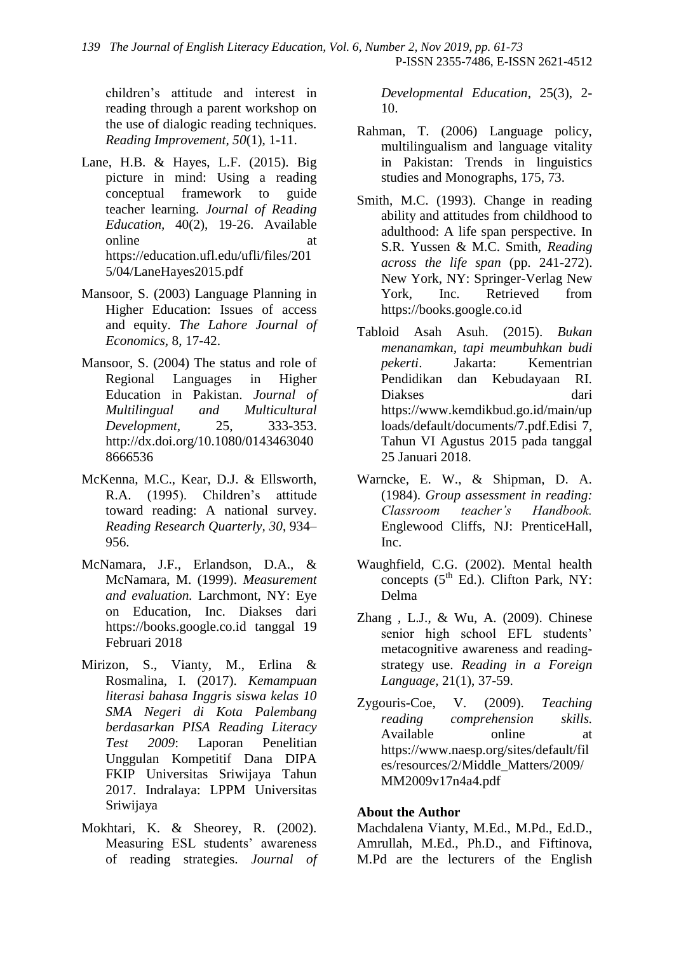children's attitude and interest in reading through a parent workshop on the use of dialogic reading techniques. *Reading Improvement, 50*(1), 1-11.

- Lane, H.B. & Hayes, L.F. (2015). Big picture in mind: Using a reading conceptual framework to guide teacher learning. *Journal of Reading Education,* 40(2), 19-26. Available online at [https://education.ufl.edu/ufli/files/201](https://education.ufl.edu/ufli/files/2015/04/LaneHayes2015.pdf) [5/04/LaneHayes2015.pdf](https://education.ufl.edu/ufli/files/2015/04/LaneHayes2015.pdf)
- Mansoor, S. (2003) Language Planning in Higher Education: Issues of access and equity. *The Lahore Journal of Economics,* 8, 17-42.
- Mansoor, S. (2004) The status and role of Regional Languages in Higher Education in Pakistan. *Journal of Multilingual and Multicultural Development,* 25, 333-353. http://dx.doi.org/10.1080/0143463040 8666536
- McKenna, M.C., Kear, D.J. & Ellsworth, R.A. (1995). Children's attitude toward reading: A national survey. *Reading Research Quarterly, 30*, 934– 956.
- McNamara, J.F., Erlandson, D.A., & McNamara, M. (1999). *Measurement and evaluation.* Larchmont, NY: Eye on Education, Inc. Diakses dari [https://books.google.co.id](https://books.google.co.id/) tanggal 19 Februari 2018
- Mirizon, S., Vianty, M., Erlina & Rosmalina, I. (2017). *Kemampuan literasi bahasa Inggris siswa kelas 10 SMA Negeri di Kota Palembang berdasarkan PISA Reading Literacy Test 2009*: Laporan Penelitian Unggulan Kompetitif Dana DIPA FKIP Universitas Sriwijaya Tahun 2017. Indralaya: LPPM Universitas Sriwijaya
- Mokhtari, K. & Sheorey, R. (2002). Measuring ESL students' awareness of reading strategies. *Journal of*

*Developmental Education*, 25(3), 2- 10.

- Rahman, T. (2006) Language policy, multilingualism and language vitality in Pakistan: Trends in linguistics studies and Monographs, 175, 73.
- Smith, M.C. (1993). Change in reading ability and attitudes from childhood to adulthood: A life span perspective. In S.R. Yussen & M.C. Smith, *Reading across the life span* (pp. 241-272). New York, NY: Springer-Verlag New York, Inc. Retrieved from https://books.google.co.id
- Tabloid Asah Asuh. (2015). *Bukan menanamkan, tapi meumbuhkan budi pekerti*. Jakarta: Kementrian Pendidikan dan Kebudayaan RI. Diakses dari https://www.kemdikbud.go.id/main/up loads/default/documents/7.pdf.Edisi 7, Tahun VI Agustus 2015 pada tanggal 25 Januari 2018.
- Warncke, E. W., & Shipman, D. A. (1984). *Group assessment in reading: Classroom teacher's Handbook.* Englewood Cliffs, NJ: PrenticeHall, Inc.
- Waughfield, C.G. (2002). Mental health concepts  $(5<sup>th</sup> Ed.)$ . Clifton Park, NY: Delma
- Zhang , L.J., & Wu, A. (2009). Chinese senior high school EFL students' metacognitive awareness and readingstrategy use. *Reading in a Foreign Language,* 21(1), 37-59.
- Zygouris-Coe, V. (2009). *Teaching reading comprehension skills.* Available online at [https://www.naesp.org/sites/default/fil](https://www.naesp.org/sites/default/files/resources/2/Middle_Matters/2009/MM2009v17n4a4.pdf) [es/resources/2/Middle\\_Matters/2009/](https://www.naesp.org/sites/default/files/resources/2/Middle_Matters/2009/MM2009v17n4a4.pdf) [MM2009v17n4a4.pdf](https://www.naesp.org/sites/default/files/resources/2/Middle_Matters/2009/MM2009v17n4a4.pdf)

## **About the Author**

Machdalena Vianty, M.Ed., M.Pd., Ed.D., Amrullah, M.Ed., Ph.D., and Fiftinova, M.Pd are the lecturers of the English